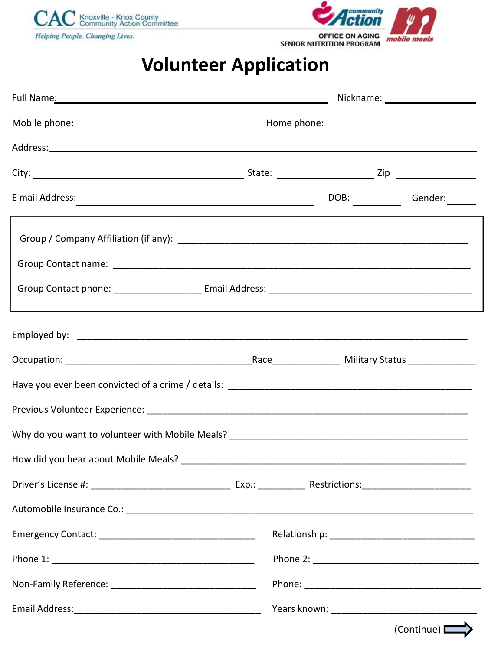



## **Volunteer Application**

|  |  |  | DOB: | Gender: ______ |  |  |
|--|--|--|------|----------------|--|--|
|  |  |  |      |                |  |  |
|  |  |  |      |                |  |  |
|  |  |  |      |                |  |  |
|  |  |  |      |                |  |  |
|  |  |  |      |                |  |  |
|  |  |  |      |                |  |  |
|  |  |  |      |                |  |  |
|  |  |  |      |                |  |  |
|  |  |  |      |                |  |  |
|  |  |  |      |                |  |  |
|  |  |  |      |                |  |  |
|  |  |  |      |                |  |  |
|  |  |  |      |                |  |  |
|  |  |  |      | (Continue) L   |  |  |